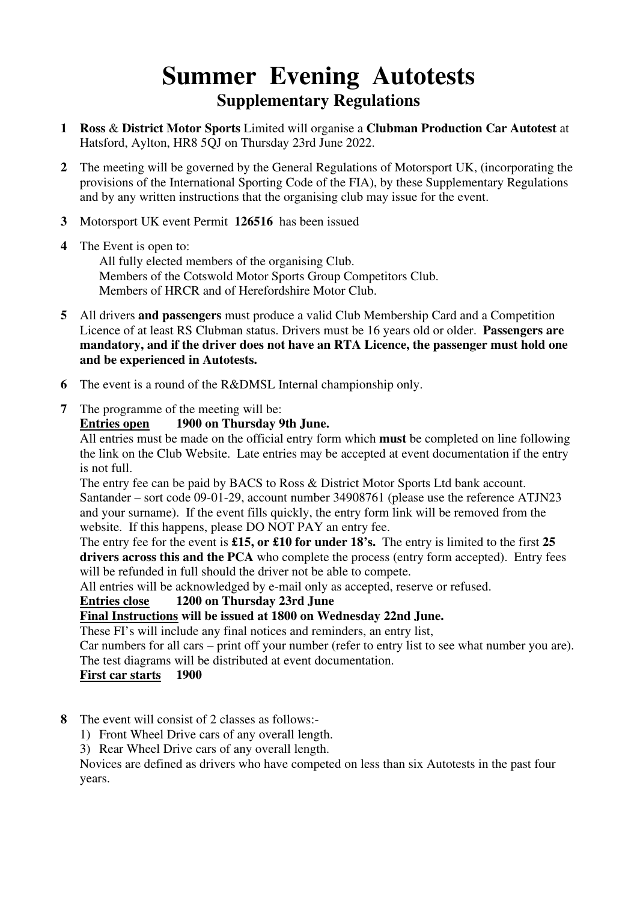# **Summer Evening Autotests Supplementary Regulations**

- **1 Ross** & **District Motor Sports** Limited will organise a **Clubman Production Car Autotest** at Hatsford, Aylton, HR8 5QJ on Thursday 23rd June 2022.
- **2** The meeting will be governed by the General Regulations of Motorsport UK, (incorporating the provisions of the International Sporting Code of the FIA), by these Supplementary Regulations and by any written instructions that the organising club may issue for the event.
- **3** Motorsport UK event Permit **126516** has been issued
- **4** The Event is open to: All fully elected members of the organising Club. Members of the Cotswold Motor Sports Group Competitors Club. Members of HRCR and of Herefordshire Motor Club.
- **5** All drivers **and passengers** must produce a valid Club Membership Card and a Competition Licence of at least RS Clubman status. Drivers must be 16 years old or older. **Passengers are mandatory, and if the driver does not have an RTA Licence, the passenger must hold one and be experienced in Autotests.**
- **6** The event is a round of the R&DMSL Internal championship only.
- **7** The programme of the meeting will be:

#### **Entries open 1900 on Thursday 9th June.**

All entries must be made on the official entry form which **must** be completed on line following the link on the Club Website. Late entries may be accepted at event documentation if the entry is not full.

The entry fee can be paid by BACS to Ross & District Motor Sports Ltd bank account. Santander – sort code 09-01-29, account number 34908761 (please use the reference ATJN23 and your surname). If the event fills quickly, the entry form link will be removed from the website. If this happens, please DO NOT PAY an entry fee.

The entry fee for the event is **£15, or £10 for under 18's.** The entry is limited to the first **25 drivers across this and the PCA** who complete the process (entry form accepted). Entry fees will be refunded in full should the driver not be able to compete.

All entries will be acknowledged by e-mail only as accepted, reserve or refused.

### **Entries close 1200 on Thursday 23rd June**

**Final Instructions will be issued at 1800 on Wednesday 22nd June.** 

These FI's will include any final notices and reminders, an entry list,

Car numbers for all cars – print off your number (refer to entry list to see what number you are). The test diagrams will be distributed at event documentation.

### **First car starts 1900**

- **8** The event will consist of 2 classes as follows:-
	- 1) Front Wheel Drive cars of any overall length.

3) Rear Wheel Drive cars of any overall length.

 Novices are defined as drivers who have competed on less than six Autotests in the past four years.